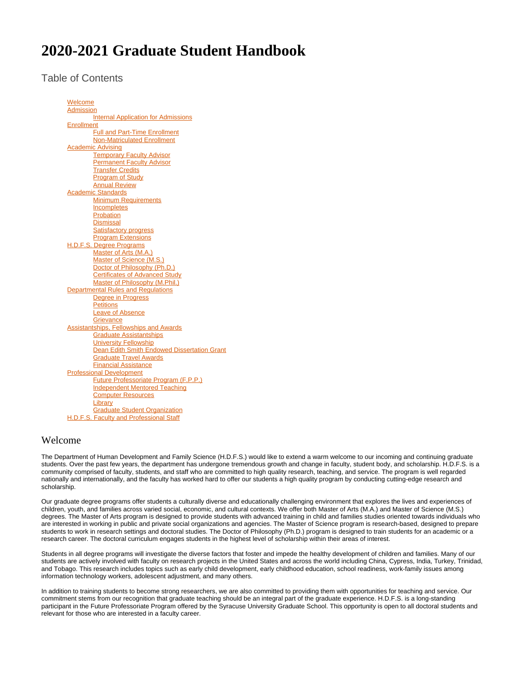# **2020-2021 Graduate Student Handbook**

Table of Contents

**[Welcome](#page-0-0)** [Admission](#page-1-0) [Internal Application for Admissions](#page-1-1) **[Enrollment](#page-1-2)** [Full and Part-Time Enrollment](#page-1-3) [Non-Matriculated Enrollment](#page-1-4) [Academic Advising](#page-1-5) **[Temporary Faculty Advisor](#page-1-6) [Permanent Faculty Advisor](#page-2-0)** [Transfer Credits](#page-2-1) [Program of Study](#page-2-2) [Annual Review](#page-2-3) [Academic Standards](#page-2-4) **[Minimum Requirements](#page-2-5)** [Incompletes](#page-3-0) **[Probation](#page-3-1) [Dismissal](#page-3-2)** [Satisfactory progress](#page-3-3) **[Program Extensions](#page-3-4)** [H.D.F.S. Degree Programs](#page-3-5) [Master of Arts \(M.A.\)](#page-3-6) [Master of Science \(M.S.\)](#page-5-0) [Doctor of Philosophy \(Ph.D.\)](#page-7-0) [Certificates of Advanced Study](#page-11-0) [Master of Philosophy \(M.Phil.\)](#page-11-1) [Departmental Rules and Regulations](#page-11-2) [Degree in Progress](#page-11-3) **[Petitions](#page-11-4)** [Leave of Absence](#page-11-5) **[Grievance](#page-11-6)** [Assistantships, Fellowships and Awards](#page-12-0) [Graduate Assistantships](#page-12-1) [University Fellowship](#page-12-2) **[Dean Edith Smith Endowed Dissertation Grant](#page-12-3)** [Graduate Travel Awards](#page-12-4) [Financial Assistance](#page-12-5) [Professional Development](#page-12-6) [Future Professoriate Program \(F.P.P.\)](#page-12-7) [Independent Mentored Teaching](#page-12-8) [Computer Resources](#page-13-0) **[Library](#page-13-1)** [Graduate Student Organization](#page-13-2) [H.D.F.S. Faculty and Professional Staff](#page-13-3)

# <span id="page-0-0"></span>Welcome

The Department of Human Development and Family Science (H.D.F.S.) would like to extend a warm welcome to our incoming and continuing graduate students. Over the past few years, the department has undergone tremendous growth and change in faculty, student body, and scholarship. H.D.F.S. is a community comprised of faculty, students, and staff who are committed to high quality research, teaching, and service. The program is well regarded nationally and internationally, and the faculty has worked hard to offer our students a high quality program by conducting cutting-edge research and scholarship.

Our graduate degree programs offer students a culturally diverse and educationally challenging environment that explores the lives and experiences of children, youth, and families across varied social, economic, and cultural contexts. We offer both Master of Arts (M.A.) and Master of Science (M.S.) degrees. The Master of Arts program is designed to provide students with advanced training in child and families studies oriented towards individuals who are interested in working in public and private social organizations and agencies. The Master of Science program is research-based, designed to prepare students to work in research settings and doctoral studies. The Doctor of Philosophy (Ph.D.) program is designed to train students for an academic or a research career. The doctoral curriculum engages students in the highest level of scholarship within their areas of interest.

Students in all degree programs will investigate the diverse factors that foster and impede the healthy development of children and families. Many of our students are actively involved with faculty on research projects in the United States and across the world including China, Cypress, India, Turkey, Trinidad, and Tobago. This research includes topics such as early child development, early childhood education, school readiness, work-family issues among information technology workers, adolescent adjustment, and many others.

In addition to training students to become strong researchers, we are also committed to providing them with opportunities for teaching and service. Our commitment stems from our recognition that graduate teaching should be an integral part of the graduate experience. H.D.F.S. is a long-standing participant in the Future Professoriate Program offered by the Syracuse University Graduate School. This opportunity is open to all doctoral students and relevant for those who are interested in a faculty career.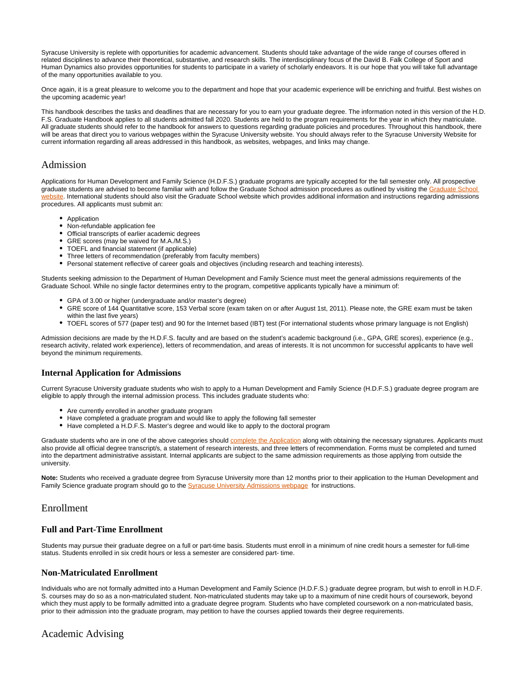Syracuse University is replete with opportunities for academic advancement. Students should take advantage of the wide range of courses offered in related disciplines to advance their theoretical, substantive, and research skills. The interdisciplinary focus of the David B. Falk College of Sport and Human Dynamics also provides opportunities for students to participate in a variety of scholarly endeavors. It is our hope that you will take full advantage of the many opportunities available to you.

Once again, it is a great pleasure to welcome you to the department and hope that your academic experience will be enriching and fruitful. Best wishes on the upcoming academic year!

This handbook describes the tasks and deadlines that are necessary for you to earn your graduate degree. The information noted in this version of the H.D. F.S. Graduate Handbook applies to all students admitted fall 2020. Students are held to the program requirements for the year in which they matriculate. All graduate students should refer to the handbook for answers to questions regarding graduate policies and procedures. Throughout this handbook, there will be areas that direct you to various webpages within the Syracuse University website. You should always refer to the Syracuse University Website for current information regarding all areas addressed in this handbook, as websites, webpages, and links may change.

# <span id="page-1-0"></span>Admission

Applications for Human Development and Family Science (H.D.F.S.) graduate programs are typically accepted for the fall semester only. All prospective graduate students are advised to become familiar with and follow the [Graduate School](https://www.syracuse.edu/admissions/graduate/) admission procedures as outlined by visiting the Graduate School [website](https://www.syracuse.edu/admissions/graduate/). International students should also visit the Graduate School website which provides additional information and instructions regarding admissions procedures. All applicants must submit an:

- Application
- Non-refundable application fee
- Official transcripts of earlier academic degrees
- $\bullet$ GRE scores (may be waived for M.A./M.S.)
- TOEFL and financial statement (if applicable)
- Three letters of recommendation (preferably from faculty members)
- Personal statement reflective of career goals and objectives (including research and teaching interests).

Students seeking admission to the Department of Human Development and Family Science must meet the general admissions requirements of the Graduate School. While no single factor determines entry to the program, competitive applicants typically have a minimum of:

- GPA of 3.00 or higher (undergraduate and/or master's degree)
- GRE score of 144 Quantitative score, 153 Verbal score (exam taken on or after August 1st, 2011). Please note, the GRE exam must be taken within the last five years)
- TOEFL scores of 577 (paper test) and 90 for the Internet based (IBT) test (For international students whose primary language is not English)

Admission decisions are made by the H.D.F.S. faculty and are based on the student's academic background (i.e., GPA, GRE scores), experience (e.g., research activity, related work experience), letters of recommendation, and areas of interests. It is not uncommon for successful applicants to have well beyond the minimum requirements.

# <span id="page-1-1"></span>**Internal Application for Admissions**

Current Syracuse University graduate students who wish to apply to a Human Development and Family Science (H.D.F.S.) graduate degree program are eligible to apply through the internal admission process. This includes graduate students who:

- Are currently enrolled in another graduate program
- Have completed a graduate program and would like to apply the following fall semester
- Have completed a H.D.F.S. Master's degree and would like to apply to the doctoral program

Graduate students who are in one of the above categories should [complete the Application](https://psdocs.syr.edu/sudocs/gradadm/graduate-enrollment-internal-admission-application.pdf) along with obtaining the necessary signatures. Applicants must also provide all official degree transcript/s, a statement of research interests, and three letters of recommendation. Forms must be completed and turned into the department administrative assistant. Internal applicants are subject to the same admission requirements as those applying from outside the university.

**Note:** Students who received a graduate degree from Syracuse University more than 12 months prior to their application to the Human Development and Family Science graduate program should go to the **Syracuse University Admissions webpage** for instructions.

# <span id="page-1-2"></span>Enrollment

# <span id="page-1-3"></span>**Full and Part-Time Enrollment**

Students may pursue their graduate degree on a full or part-time basis. Students must enroll in a minimum of nine credit hours a semester for full-time status. Students enrolled in six credit hours or less a semester are considered part- time.

### <span id="page-1-4"></span>**Non-Matriculated Enrollment**

Individuals who are not formally admitted into a Human Development and Family Science (H.D.F.S.) graduate degree program, but wish to enroll in H.D.F. S. courses may do so as a non-matriculated student. Non-matriculated students may take up to a maximum of nine credit hours of coursework, beyond which they must apply to be formally admitted into a graduate degree program. Students who have completed coursework on a non-matriculated basis, prior to their admission into the graduate program, may petition to have the courses applied towards their degree requirements.

# <span id="page-1-6"></span><span id="page-1-5"></span>Academic Advising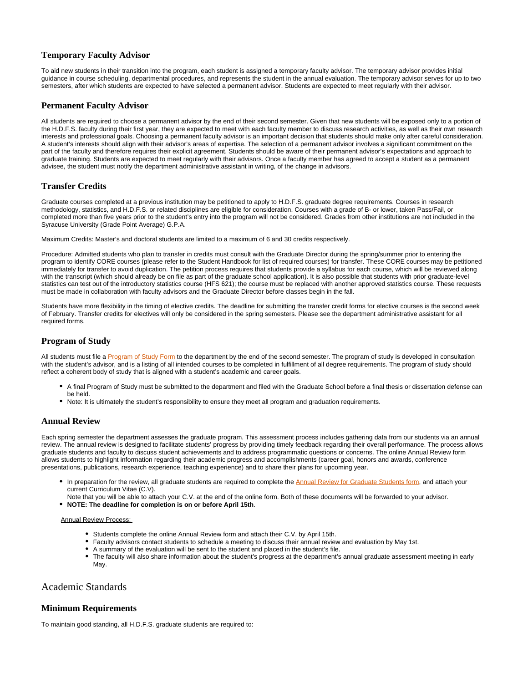# **Temporary Faculty Advisor**

To aid new students in their transition into the program, each student is assigned a temporary faculty advisor. The temporary advisor provides initial guidance in course scheduling, departmental procedures, and represents the student in the annual evaluation. The temporary advisor serves for up to two semesters, after which students are expected to have selected a permanent advisor. Students are expected to meet regularly with their advisor.

# <span id="page-2-0"></span>**Permanent Faculty Advisor**

All students are required to choose a permanent advisor by the end of their second semester. Given that new students will be exposed only to a portion of the H.D.F.S. faculty during their first year, they are expected to meet with each faculty member to discuss research activities, as well as their own research interests and professional goals. Choosing a permanent faculty advisor is an important decision that students should make only after careful consideration. A student's interests should align with their advisor's areas of expertise. The selection of a permanent advisor involves a significant commitment on the part of the faculty and therefore requires their explicit agreement. Students should be aware of their permanent advisor's expectations and approach to graduate training. Students are expected to meet regularly with their advisors. Once a faculty member has agreed to accept a student as a permanent advisee, the student must notify the department administrative assistant in writing, of the change in advisors.

# <span id="page-2-1"></span>**Transfer Credits**

Graduate courses completed at a previous institution may be petitioned to apply to H.D.F.S. graduate degree requirements. Courses in research methodology, statistics, and H.D.F.S. or related disciplines are eligible for consideration. Courses with a grade of B- or lower, taken Pass/Fail, or completed more than five years prior to the student's entry into the program will not be considered. Grades from other institutions are not included in the Syracuse University (Grade Point Average) G.P.A.

Maximum Credits: Master's and doctoral students are limited to a maximum of 6 and 30 credits respectively.

Procedure: Admitted students who plan to transfer in credits must consult with the Graduate Director during the spring/summer prior to entering the program to identify CORE courses (please refer to the Student Handbook for list of required courses) for transfer. These CORE courses may be petitioned immediately for transfer to avoid duplication. The petition process requires that students provide a syllabus for each course, which will be reviewed along with the transcript (which should already be on file as part of the graduate school application). It is also possible that students with prior graduate-level statistics can test out of the introductory statistics course (HFS 621); the course must be replaced with another approved statistics course. These requests must be made in collaboration with faculty advisors and the Graduate Director before classes begin in the fall.

Students have more flexibility in the timing of elective credits. The deadline for submitting the transfer credit forms for elective courses is the second week of February. Transfer credits for electives will only be considered in the spring semesters. Please see the department administrative assistant for all required forms.

# <span id="page-2-2"></span>**Program of Study**

All students must file a [Program of Study Form](https://answers.syr.edu/display/GS/Forms?preview=/94049056/113968293/Program%20of%20Study%20Fillable.pdf) to the department by the end of the second semester. The program of study is developed in consultation with the student's advisor, and is a listing of all intended courses to be completed in fulfillment of all degree requirements. The program of study should reflect a coherent body of study that is aligned with a student's academic and career goals.

- A final Program of Study must be submitted to the department and filed with the Graduate School before a final thesis or dissertation defense can be held.
- Note: It is ultimately the student's responsibility to ensure they meet all program and graduation requirements.

# <span id="page-2-3"></span>**Annual Review**

Each spring semester the department assesses the graduate program. This assessment process includes gathering data from our students via an annual review. The annual review is designed to facilitate students' progress by providing timely feedback regarding their overall performance. The process allows graduate students and faculty to discuss student achievements and to address programmatic questions or concerns. The online Annual Review form allows students to highlight information regarding their academic progress and accomplishments (career goal, honors and awards, conference presentations, publications, research experience, teaching experience) and to share their plans for upcoming year.

- In preparation for the review, all graduate students are required to complete the [Annual Review for Graduate Students form](https://its-forms.syr.edu/frevvo/web/tn/SUFS/u/b7d84c7d-300b-454d-b8cf-25428d36d8f4/app/_yhL0cAF2EeqUbJLIib541A/formtype/_rzgYoHzrEeudluvCIiU7ZQ/popupform), and attach your current Curriculum Vitae (C.V).
- Note that you will be able to attach your C.V. at the end of the online form. Both of these documents will be forwarded to your advisor.
- **NOTE: The deadline for completion is on or before April 15th**.

### Annual Review Process:

- Students complete the online Annual Review form and attach their C.V. by April 15th.
- Faculty advisors contact students to schedule a meeting to discuss their annual review and evaluation by May 1st.
- A summary of the evaluation will be sent to the student and placed in the student's file.
- The faculty will also share information about the student's progress at the department's annual graduate assessment meeting in early May.

# <span id="page-2-4"></span>Academic Standards

# <span id="page-2-5"></span>**Minimum Requirements**

To maintain good standing, all H.D.F.S. graduate students are required to: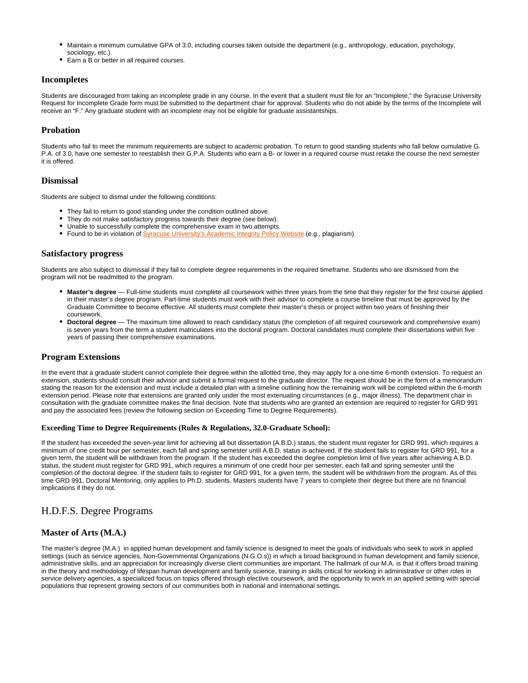- Maintain a minimum cumulative GPA of 3.0, including courses taken outside the department (e.g., anthropology, education, psychology, sociology, etc.).
- Earn a B or better in all required courses.

# <span id="page-3-0"></span>**Incompletes**

Students are discouraged from taking an incomplete grade in any course. In the event that a student must file for an "Incomplete," the Syracuse University Request for Incomplete Grade form must be submitted to the department chair for approval. Students who do not abide by the terms of the Incomplete will receive an "F." Any graduate student with an incomplete may not be eligible for graduate assistantships.

# <span id="page-3-1"></span>**Probation**

Students who fail to meet the minimum requirements are subject to academic probation. To return to good standing students who fall below cumulative G. P.A. of 3.0, have one semester to reestablish their G.P.A. Students who earn a B- or lower in a required course must retake the course the next semester it is offered.

# <span id="page-3-2"></span>**Dismissal**

Students are subject to dismal under the following conditions:

- They fail to return to good standing under the condition outlined above.
- They do not make satisfactory progress towards their degree (see below).
- Unable to successfully complete the comprehensive exam in two attempts.
- Found to be in violation of [Syracuse University's Academic Integrity Policy Website](https://policies.syr.edu/policies/academic-rules-student-responsibilities-and-services/academic-integrity-policy/) (e.g., plagiarism).

### <span id="page-3-3"></span>**Satisfactory progress**

Students are also subject to dismissal if they fail to complete degree requirements in the required timeframe. Students who are dismissed from the program will not be readmitted to the program.

- **Master's degree** Full-time students must complete all coursework within three years from the time that they register for the first course applied in their master's degree program. Part-time students must work with their advisor to complete a course timeline that must be approved by the Graduate Committee to become effective. All students must complete their master's thesis or project within two years of finishing their coursework.
- **Doctoral degree** The maximum time allowed to reach candidacy status (the completion of all required coursework and comprehensive exam) is seven years from the term a student matriculates into the doctoral program. Doctoral candidates must complete their dissertations within five years of passing their comprehensive examinations.

# <span id="page-3-4"></span>**Program Extensions**

In the event that a graduate student cannot complete their degree within the allotted time, they may apply for a one-time 6-month extension. To request an extension, students should consult their advisor and submit a formal request to the graduate director. The request should be in the form of a memorandum stating the reason for the extension and must include a detailed plan with a timeline outlining how the remaining work will be completed within the 6-month extension period. Please note that extensions are granted only under the most extenuating circumstances (e.g., major illness). The department chair in consultation with the graduate committee makes the final decision. Note that students who are granted an extension are required to register for GRD 991 and pay the associated fees (review the following section on Exceeding Time to Degree Requirements).

### **Exceeding Time to Degree Requirements (Rules & Regulations, 32.0-Graduate School):**

If the student has exceeded the seven-year limit for achieving all but dissertation (A.B.D.) status, the student must register for GRD 991, which requires a minimum of one credit hour per semester, each fall and spring semester until A.B.D. status is achieved. If the student fails to register for GRD 991, for a given term, the student will be withdrawn from the program. If the student has exceeded the degree completion limit of five years after achieving A.B.D. status, the student must register for GRD 991, which requires a minimum of one credit hour per semester, each fall and spring semester until the completion of the doctoral degree. If the student fails to register for GRD 991, for a given term, the student will be withdrawn from the program. As of this time GRD 991, Doctoral Mentoring, only applies to Ph.D. students. Masters students have 7 years to complete their degree but there are no financial implications if they do not.

# <span id="page-3-5"></span>H.D.F.S. Degree Programs

# <span id="page-3-6"></span>**Master of Arts (M.A.)**

The master's degree (M.A.) in applied human development and family science is designed to meet the goals of individuals who seek to work in applied settings (such as service agencies, Non-Governmental Organizations (N.G.O.s)) in which a broad background in human development and family science, administrative skills, and an appreciation for increasingly diverse client communities are important. The hallmark of our M.A. is that it offers broad training in the theory and methodology of lifespan human development and family science, training in skills critical for working in administrative or other roles in service delivery agencies, a specialized focus on topics offered through elective coursework, and the opportunity to work in an applied setting with special populations that represent growing sectors of our communities both in national and international settings.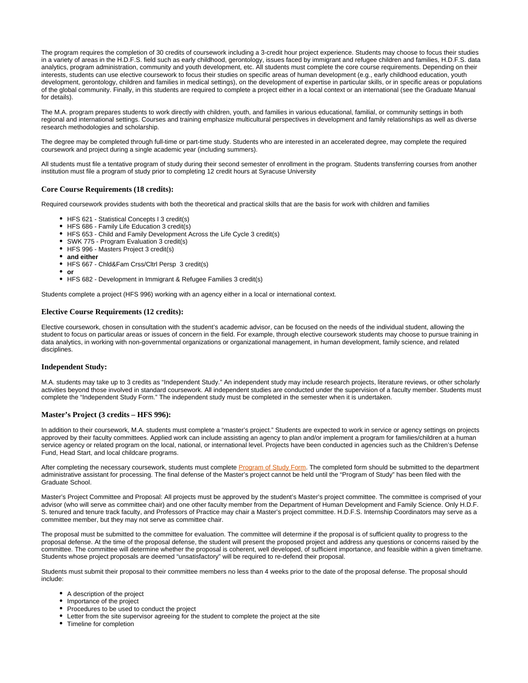The program requires the completion of 30 credits of coursework including a 3-credit hour project experience. Students may choose to focus their studies in a variety of areas in the H.D.F.S. field such as early childhood, gerontology, issues faced by immigrant and refugee children and families, H.D.F.S. data analytics, program administration, community and youth development, etc. All students must complete the core course requirements. Depending on their interests, students can use elective coursework to focus their studies on specific areas of human development (e.g., early childhood education, youth development, gerontology, children and families in medical settings), on the development of expertise in particular skills, or in specific areas or populations of the global community. Finally, in this students are required to complete a project either in a local context or an international (see the Graduate Manual for details).

The M.A. program prepares students to work directly with children, youth, and families in various educational, familial, or community settings in both regional and international settings. Courses and training emphasize multicultural perspectives in development and family relationships as well as diverse research methodologies and scholarship.

The degree may be completed through full-time or part-time study. Students who are interested in an accelerated degree, may complete the required coursework and project during a single academic year (including summers).

All students must file a tentative program of study during their second semester of enrollment in the program. Students transferring courses from another institution must file a program of study prior to completing 12 credit hours at Syracuse University

### **Core Course Requirements (18 credits):**

Required coursework provides students with both the theoretical and practical skills that are the basis for work with children and families

- HFS 621 Statistical Concepts I 3 credit(s)
- HFS 686 Family Life Education 3 credit(s)
- HFS 653 Child and Family Development Across the Life Cycle 3 credit(s)
- SWK 775 Program Evaluation 3 credit(s)
- HFS 996 Masters Project 3 credit(s)
- **and either**
- HFS 667 Chld&Fam Crss/Cltrl Persp 3 credit(s) **or**
- HFS 682 Development in Immigrant & Refugee Families 3 credit(s)

Students complete a project (HFS 996) working with an agency either in a local or international context.

### **Elective Course Requirements (12 credits):**

Elective coursework, chosen in consultation with the student's academic advisor, can be focused on the needs of the individual student, allowing the student to focus on particular areas or issues of concern in the field. For example, through elective coursework students may choose to pursue training in data analytics, in working with non-governmental organizations or organizational management, in human development, family science, and related disciplines.

#### **Independent Study:**

M.A. students may take up to 3 credits as "Independent Study." An independent study may include research projects, literature reviews, or other scholarly activities beyond those involved in standard coursework. All independent studies are conducted under the supervision of a faculty member. Students must complete the "Independent Study Form." The independent study must be completed in the semester when it is undertaken.

#### **Master's Project (3 credits – HFS 996):**

In addition to their coursework, M.A. students must complete a "master's project." Students are expected to work in service or agency settings on projects approved by their faculty committees. Applied work can include assisting an agency to plan and/or implement a program for families/children at a human service agency or related program on the local, national, or international level. Projects have been conducted in agencies such as the Children's Defense Fund, Head Start, and local childcare programs.

After completing the necessary coursework, students must complete [Program of Study Form.](https://answers.syr.edu/display/GS/Forms?preview=/94049056/113968293/Program%20of%20Study%20Fillable.pdf) The completed form should be submitted to the department administrative assistant for processing. The final defense of the Master's project cannot be held until the "Program of Study" has been filed with the Graduate School.

Master's Project Committee and Proposal: All projects must be approved by the student's Master's project committee. The committee is comprised of your advisor (who will serve as committee chair) and one other faculty member from the Department of Human Development and Family Science. Only H.D.F. S. tenured and tenure track faculty, and Professors of Practice may chair a Master's project committee. H.D.F.S. Internship Coordinators may serve as a committee member, but they may not serve as committee chair.

The proposal must be submitted to the committee for evaluation. The committee will determine if the proposal is of sufficient quality to progress to the proposal defense. At the time of the proposal defense, the student will present the proposed project and address any questions or concerns raised by the committee. The committee will determine whether the proposal is coherent, well developed, of sufficient importance, and feasible within a given timeframe. Students whose project proposals are deemed "unsatisfactory" will be required to re-defend their proposal.

Students must submit their proposal to their committee members no less than 4 weeks prior to the date of the proposal defense. The proposal should include:

- A description of the project
- Importance of the project
- Procedures to be used to conduct the project
- Letter from the site supervisor agreeing for the student to complete the project at the site
- Timeline for completion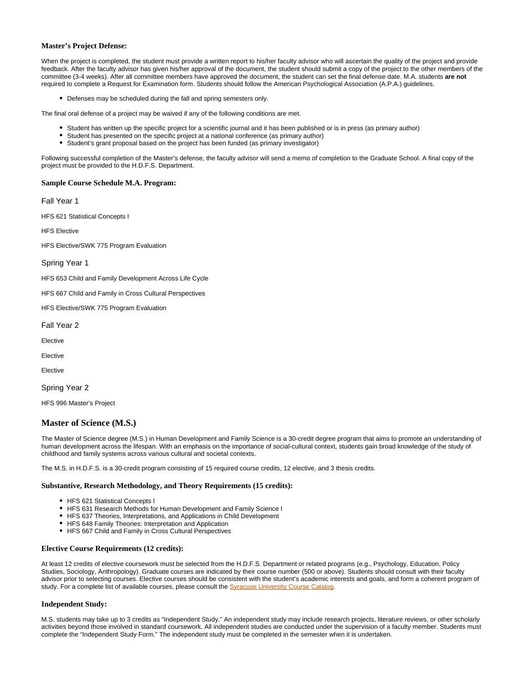### **Master's Project Defense:**

When the project is completed, the student must provide a written report to his/her faculty advisor who will ascertain the quality of the project and provide feedback. After the faculty advisor has given his/her approval of the document, the student should submit a copy of the project to the other members of the committee (3-4 weeks). After all committee members have approved the document, the student can set the final defense date. M.A. students **are not** required to complete a Request for Examination form. Students should follow the American Psychological Association (A.P.A.) guidelines.

Defenses may be scheduled during the fall and spring semesters only.

The final oral defense of a project may be waived if any of the following conditions are met.

- Student has written up the specific project for a scientific journal and it has been published or is in press (as primary author)
- Student has presented on the specific project at a national conference (as primary author)
- Student's grant proposal based on the project has been funded (as primary investigator)

Following successful completion of the Master's defense, the faculty advisor will send a memo of completion to the Graduate School. A final copy of the project must be provided to the H.D.F.S. Department.

### **Sample Course Schedule M.A. Program:**

Fall Year 1

HFS 621 Statistical Concepts I

HFS Elective

HFS Elective/SWK 775 Program Evaluation

Spring Year 1

HFS 653 Child and Family Development Across Life Cycle

HFS 667 Child and Family in Cross Cultural Perspectives

HFS Elective/SWK 775 Program Evaluation

Fall Year 2

Elective

Elective

Elective

Spring Year 2

HFS 996 Master's Project

# <span id="page-5-0"></span>**Master of Science (M.S.)**

The Master of Science degree (M.S.) in Human Development and Family Science is a 30-credit degree program that aims to promote an understanding of human development across the lifespan. With an emphasis on the importance of social-cultural context, students gain broad knowledge of the study of childhood and family systems across various cultural and societal contexts.

The M.S. in H.D.F.S. is a 30-credit program consisting of 15 required course credits, 12 elective, and 3 thesis credits.

### **Substantive, Research Methodology, and Theory Requirements (15 credits):**

- HFS 621 Statistical Concepts I
- HFS 631 Research Methods for Human Development and Family Science I
- HFS 637 Theories, Interpretations, and Applications in Child Development
- HFS 648 Family Theories: Interpretation and Application
- HFS 667 Child and Family in Cross Cultural Perspectives

### **Elective Course Requirements (12 credits):**

At least 12 credits of elective coursework must be selected from the H.D.F.S. Department or related programs (e.g., Psychology, Education, Policy Studies, Sociology, Anthropology). Graduate courses are indicated by their course number (500 or above). Students should consult with their faculty advisor prior to selecting courses. Elective courses should be consistent with the student's academic interests and goals, and form a coherent program of study. For a complete list of available courses, please consult the **Syracuse University Course Catalog**.

### **Independent Study:**

M.S. students may take up to 3 credits as "Independent Study." An independent study may include research projects, literature reviews, or other scholarly activities beyond those involved in standard coursework. All independent studies are conducted under the supervision of a faculty member. Students must complete the "Independent Study Form." The independent study must be completed in the semester when it is undertaken.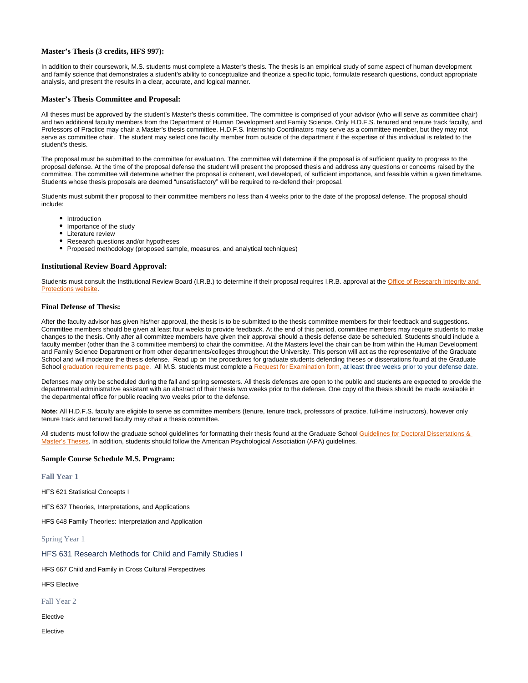### **Master's Thesis (3 credits, HFS 997):**

In addition to their coursework, M.S. students must complete a Master's thesis. The thesis is an empirical study of some aspect of human development and family science that demonstrates a student's ability to conceptualize and theorize a specific topic, formulate research questions, conduct appropriate analysis, and present the results in a clear, accurate, and logical manner.

### **Master's Thesis Committee and Proposal:**

All theses must be approved by the student's Master's thesis committee. The committee is comprised of your advisor (who will serve as committee chair) and two additional faculty members from the Department of Human Development and Family Science. Only H.D.F.S. tenured and tenure track faculty, and Professors of Practice may chair a Master's thesis committee. H.D.F.S. Internship Coordinators may serve as a committee member, but they may not serve as committee chair. The student may select one faculty member from outside of the department if the expertise of this individual is related to the student's thesis.

The proposal must be submitted to the committee for evaluation. The committee will determine if the proposal is of sufficient quality to progress to the proposal defense. At the time of the proposal defense the student will present the proposed thesis and address any questions or concerns raised by the committee. The committee will determine whether the proposal is coherent, well developed, of sufficient importance, and feasible within a given timeframe. Students whose thesis proposals are deemed "unsatisfactory" will be required to re-defend their proposal.

Students must submit their proposal to their committee members no less than 4 weeks prior to the date of the proposal defense. The proposal should include:

- Introduction
- Importance of the study
- Literature review
- Research questions and/or hypotheses
- Proposed methodology (proposed sample, measures, and analytical techniques)

### **Institutional Review Board Approval:**

Students must consult the Institutional Review Board (I.R.B.) to determine if their proposal requires I.R.B. approval at the Office of Research Integrity and [Protections website](http://researchintegrity.syr.edu/human-research/).

### **Final Defense of Thesis:**

After the faculty advisor has given his/her approval, the thesis is to be submitted to the thesis committee members for their feedback and suggestions. Committee members should be given at least four weeks to provide feedback. At the end of this period, committee members may require students to make changes to the thesis. Only after all committee members have given their approval should a thesis defense date be scheduled. Students should include a faculty member (other than the 3 committee members) to chair the committee. At the Masters level the chair can be from within the Human Development and Family Science Department or from other departments/colleges throughout the University. This person will act as the representative of the Graduate School and will moderate the thesis defense. Read up on the procedures for graduate students defending theses or dissertations found at the Graduate School [graduation requirements page](http://graduateschool.syr.edu/policies-and-requirements/graduation-requirements/). All M.S. students must complete a [Request for Examination form](https://its-forms.syr.edu/frevvo/web/tn/SUFS/u/3225da3e-04e2-45b5-92d1-01b8e4677ef2/app/_yeefke67EeCqM9SO5g8hXw/formtype/_VIPfANw2EeOKObP_sVeN8g/popupform), at least three weeks prior to your defense date.

Defenses may only be scheduled during the fall and spring semesters. All thesis defenses are open to the public and students are expected to provide the departmental administrative assistant with an abstract of their thesis two weeks prior to the defense. One copy of the thesis should be made available in the departmental office for public reading two weeks prior to the defense.

**Note:** All H.D.F.S. faculty are eligible to serve as committee members (tenure, tenure track, professors of practice, full-time instructors), however only tenure track and tenured faculty may chair a thesis committee.

All students must follow the graduate school quidelines for formatting their thesis found at the Graduate School Guidelines for Doctoral Dissertations & [Master's Theses.](http://graduateschool.syr.edu/wp-content/uploads/2015/05/Doctoral-Dissertation-Masters-theses-Format-Guidelines.pdf) In addition, students should follow the American Psychological Association (APA) guidelines.

### **Sample Course Schedule M.S. Program:**

**Fall Year 1**

HFS 621 Statistical Concepts I

HFS 637 Theories, Interpretations, and Applications

HFS 648 Family Theories: Interpretation and Application

### Spring Year 1

HFS 631 Research Methods for Child and Family Studies I

HFS 667 Child and Family in Cross Cultural Perspectives

HFS Elective

Fall Year 2

Elective

Elective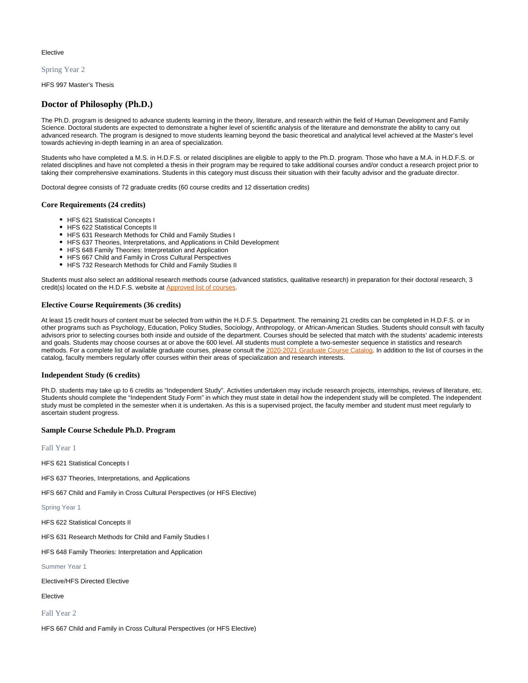#### Elective

### Spring Year 2

HFS 997 Master's Thesis

# <span id="page-7-0"></span>**Doctor of Philosophy (Ph.D.)**

The Ph.D. program is designed to advance students learning in the theory, literature, and research within the field of Human Development and Family Science. Doctoral students are expected to demonstrate a higher level of scientific analysis of the literature and demonstrate the ability to carry out advanced research. The program is designed to move students learning beyond the basic theoretical and analytical level achieved at the Master's level towards achieving in-depth learning in an area of specialization.

Students who have completed a M.S. in H.D.F.S. or related disciplines are eligible to apply to the Ph.D. program. Those who have a M.A. in H.D.F.S. or related disciplines and have not completed a thesis in their program may be required to take additional courses and/or conduct a research project prior to taking their comprehensive examinations. Students in this category must discuss their situation with their faculty advisor and the graduate director.

Doctoral degree consists of 72 graduate credits (60 course credits and 12 dissertation credits)

### **Core Requirements (24 credits)**

- HFS 621 Statistical Concepts I
- HFS 622 Statistical Concepts II
- HFS 631 Research Methods for Child and Family Studies I
- HFS 637 Theories, Interpretations, and Applications in Child Development
- HFS 648 Family Theories: Interpretation and Application
- HFS 667 Child and Family in Cross Cultural Perspectives
- HFS 732 Research Methods for Child and Family Studies II

Students must also select an additional research methods course (advanced statistics, qualitative research) in preparation for their doctoral research, 3 credit(s) located on the H.D.F.S. website at [Approved list of courses](https://falk.syr.edu/hdfs/forms-information/graduate-research-methods/).

### **Elective Course Requirements (36 credits)**

At least 15 credit hours of content must be selected from within the H.D.F.S. Department. The remaining 21 credits can be completed in H.D.F.S. or in other programs such as Psychology, Education, Policy Studies, Sociology, Anthropology, or African-American Studies. Students should consult with faculty advisors prior to selecting courses both inside and outside of the department. Courses should be selected that match with the students' academic interests and goals. Students may choose courses at or above the 600 level. All students must complete a two-semester sequence in statistics and research methods. For a complete list of available graduate courses, please consult the [2020-2021 Graduate Course Catalog](http://coursecatalog.syr.edu/content.php?catoid=25&navoid=3198#academic_offerings). In addition to the list of courses in the catalog, faculty members regularly offer courses within their areas of specialization and research interests.

#### **Independent Study (6 credits)**

Ph.D. students may take up to 6 credits as "Independent Study". Activities undertaken may include research projects, internships, reviews of literature, etc. Students should complete the "Independent Study Form" in which they must state in detail how the independent study will be completed. The independent study must be completed in the semester when it is undertaken. As this is a supervised project, the faculty member and student must meet regularly to ascertain student progress.

#### **Sample Course Schedule Ph.D. Program**

Fall Year 1

HFS 621 Statistical Concepts I

HFS 637 Theories, Interpretations, and Applications

HFS 667 Child and Family in Cross Cultural Perspectives (or HFS Elective)

Spring Year 1

HFS 622 Statistical Concepts II

HFS 631 Research Methods for Child and Family Studies I

HFS 648 Family Theories: Interpretation and Application

Summer Year 1

Elective/HFS Directed Elective

Elective

Fall Year 2

HFS 667 Child and Family in Cross Cultural Perspectives (or HFS Elective)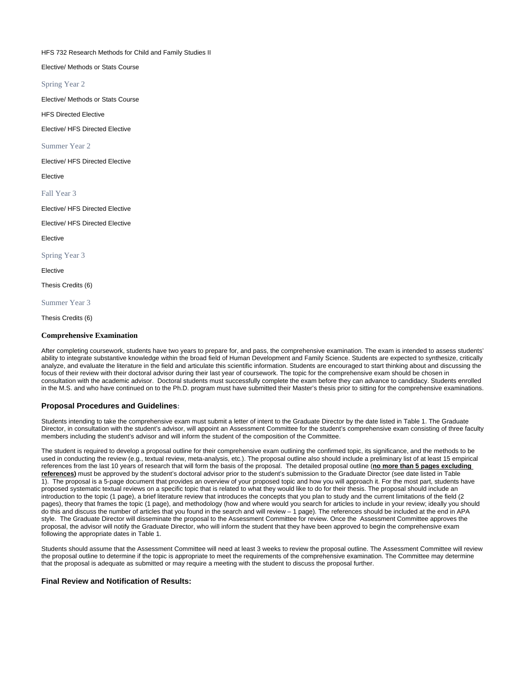### HFS 732 Research Methods for Child and Family Studies II

Elective/ Methods or Stats Course

Spring Year 2

Elective/ Methods or Stats Course

HFS Directed Elective

Elective/ HFS Directed Elective

Summer Year 2

Elective/ HFS Directed Elective

Elective

Fall Year 3

Elective/ HFS Directed Elective

Elective/ HFS Directed Elective

**Elective** 

Spring Year 3

Elective

Thesis Credits (6)

Summer Year 3

Thesis Credits (6)

### **Comprehensive Examination**

After completing coursework, students have two years to prepare for, and pass, the comprehensive examination. The exam is intended to assess students' ability to integrate substantive knowledge within the broad field of Human Development and Family Science. Students are expected to synthesize, critically analyze, and evaluate the literature in the field and articulate this scientific information. Students are encouraged to start thinking about and discussing the focus of their review with their doctoral advisor during their last year of coursework. The topic for the comprehensive exam should be chosen in consultation with the academic advisor. Doctoral students must successfully complete the exam before they can advance to candidacy. Students enrolled in the M.S. and who have continued on to the Ph.D. program must have submitted their Master's thesis prior to sitting for the comprehensive examinations.

### **Proposal Procedures and Guidelines:**

Students intending to take the comprehensive exam must submit a letter of intent to the Graduate Director by the date listed in Table 1. The Graduate Director, in consultation with the student's advisor, will appoint an Assessment Committee for the student's comprehensive exam consisting of three faculty members including the student's advisor and will inform the student of the composition of the Committee.

The student is required to develop a proposal outline for their comprehensive exam outlining the confirmed topic, its significance, and the methods to be used in conducting the review (e.g., textual review, meta-analysis, etc.). The proposal outline also should include a preliminary list of at least 15 empirical references from the last 10 years of research that will form the basis of the proposal. The detailed proposal outline (**no more than 5 pages excluding references)** must be approved by the student's doctoral advisor prior to the student's submission to the Graduate Director (see date listed in Table 1). The proposal is a 5-page document that provides an overview of your proposed topic and how you will approach it. For the most part, students have proposed systematic textual reviews on a specific topic that is related to what they would like to do for their thesis. The proposal should include an introduction to the topic (1 page), a brief literature review that introduces the concepts that you plan to study and the current limitations of the field (2 pages), theory that frames the topic (1 page), and methodology (how and where would you search for articles to include in your review; ideally you should do this and discuss the number of articles that you found in the search and will review – 1 page). The references should be included at the end in APA style. The Graduate Director will disseminate the proposal to the Assessment Committee for review. Once the Assessment Committee approves the proposal, the advisor will notify the Graduate Director, who will inform the student that they have been approved to begin the comprehensive exam following the appropriate dates in Table 1.

Students should assume that the Assessment Committee will need at least 3 weeks to review the proposal outline. The Assessment Committee will review the proposal outline to determine if the topic is appropriate to meet the requirements of the comprehensive examination. The Committee may determine that the proposal is adequate as submitted or may require a meeting with the student to discuss the proposal further.

### **Final Review and Notification of Results:**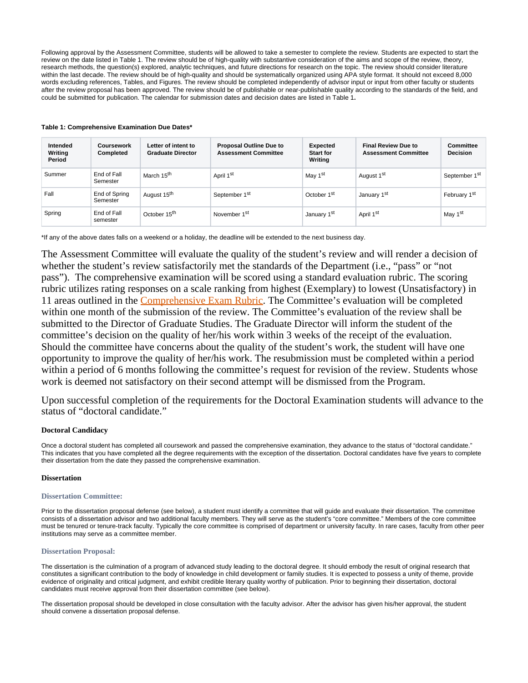Following approval by the Assessment Committee, students will be allowed to take a semester to complete the review. Students are expected to start the review on the date listed in Table 1. The review should be of high-quality with substantive consideration of the aims and scope of the review, theory, research methods, the question(s) explored, analytic techniques, and future directions for research on the topic. The review should consider literature within the last decade. The review should be of high-quality and should be systematically organized using APA style format. It should not exceed 8,000 words excluding references, Tables, and Figures. The review should be completed independently of advisor input or input from other faculty or students after the review proposal has been approved. The review should be of publishable or near-publishable quality according to the standards of the field, and could be submitted for publication. The calendar for submission dates and decision dates are listed in Table 1**.**

#### **Table 1: Comprehensive Examination Due Dates\***

| Intended<br>Writing<br>Period | Coursework<br><b>Completed</b> | Letter of intent to<br><b>Graduate Director</b> | <b>Proposal Outline Due to</b><br><b>Assessment Committee</b> | <b>Expected</b><br><b>Start for</b><br>Writing | <b>Final Review Due to</b><br><b>Assessment Committee</b> | Committee<br><b>Decision</b> |
|-------------------------------|--------------------------------|-------------------------------------------------|---------------------------------------------------------------|------------------------------------------------|-----------------------------------------------------------|------------------------------|
| Summer                        | End of Fall<br>Semester        | March 15 <sup>th</sup>                          | April 1 <sup>st</sup>                                         | May 1 <sup>st</sup>                            | August 1 <sup>st</sup>                                    | September 1 <sup>st</sup>    |
| Fall                          | End of Spring<br>Semester      | August 15 <sup>th</sup>                         | September 1 <sup>st</sup>                                     | October 1st                                    | January 1st                                               | February 1 <sup>st</sup>     |
| Spring                        | End of Fall<br>semester        | October 15 <sup>th</sup>                        | November 1 <sup>st</sup>                                      | <sup>'</sup> January 1 <sup>st</sup>           | April 1 <sup>st</sup>                                     | May 1 <sup>st</sup>          |

\*If any of the above dates falls on a weekend or a holiday, the deadline will be extended to the next business day.

The Assessment Committee will evaluate the quality of the student's review and will render a decision of whether the student's review satisfactorily met the standards of the Department (i.e., "pass" or "not pass"). The comprehensive examination will be scored using a standard evaluation rubric. The scoring rubric utilizes rating responses on a scale ranking from highest (Exemplary) to lowest (Unsatisfactory) in 11 areas outlined in the [Comprehensive Exam Rubric](https://falk.syr.edu/hdfs/forms-information/comprehensive-exam-rubric/). The Committee's evaluation will be completed within one month of the submission of the review. The Committee's evaluation of the review shall be submitted to the Director of Graduate Studies. The Graduate Director will inform the student of the committee's decision on the quality of her/his work within 3 weeks of the receipt of the evaluation. Should the committee have concerns about the quality of the student's work, the student will have one opportunity to improve the quality of her/his work. The resubmission must be completed within a period within a period of 6 months following the committee's request for revision of the review. Students whose work is deemed not satisfactory on their second attempt will be dismissed from the Program.

Upon successful completion of the requirements for the Doctoral Examination students will advance to the status of "doctoral candidate."

### **Doctoral Candidacy**

Once a doctoral student has completed all coursework and passed the comprehensive examination, they advance to the status of "doctoral candidate." This indicates that you have completed all the degree requirements with the exception of the dissertation. Doctoral candidates have five years to complete their dissertation from the date they passed the comprehensive examination.

### **Dissertation**

### **Dissertation Committee:**

Prior to the dissertation proposal defense (see below), a student must identify a committee that will guide and evaluate their dissertation. The committee consists of a dissertation advisor and two additional faculty members. They will serve as the student's "core committee." Members of the core committee must be tenured or tenure-track faculty. Typically the core committee is comprised of department or university faculty. In rare cases, faculty from other peer institutions may serve as a committee member.

### **Dissertation Proposal:**

The dissertation is the culmination of a program of advanced study leading to the doctoral degree. It should embody the result of original research that constitutes a significant contribution to the body of knowledge in child development or family studies. It is expected to possess a unity of theme, provide evidence of originality and critical judgment, and exhibit credible literary quality worthy of publication. Prior to beginning their dissertation, doctoral candidates must receive approval from their dissertation committee (see below).

The dissertation proposal should be developed in close consultation with the faculty advisor. After the advisor has given his/her approval, the student should convene a dissertation proposal defense.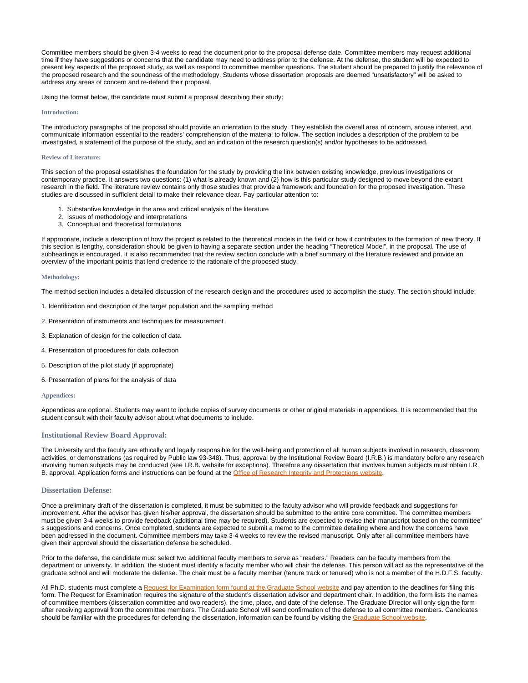Committee members should be given 3-4 weeks to read the document prior to the proposal defense date. Committee members may request additional time if they have suggestions or concerns that the candidate may need to address prior to the defense. At the defense, the student will be expected to present key aspects of the proposed study, as well as respond to committee member questions. The student should be prepared to justify the relevance of the proposed research and the soundness of the methodology. Students whose dissertation proposals are deemed "unsatisfactory" will be asked to address any areas of concern and re-defend their proposal.

Using the format below, the candidate must submit a proposal describing their study:

#### **Introduction:**

The introductory paragraphs of the proposal should provide an orientation to the study. They establish the overall area of concern, arouse interest, and communicate information essential to the readers' comprehension of the material to follow. The section includes a description of the problem to be investigated, a statement of the purpose of the study, and an indication of the research question(s) and/or hypotheses to be addressed.

#### **Review of Literature:**

This section of the proposal establishes the foundation for the study by providing the link between existing knowledge, previous investigations or contemporary practice. It answers two questions: (1) what is already known and (2) how is this particular study designed to move beyond the extant research in the field. The literature review contains only those studies that provide a framework and foundation for the proposed investigation. These studies are discussed in sufficient detail to make their relevance clear. Pay particular attention to:

- 1. Substantive knowledge in the area and critical analysis of the literature
- 2. Issues of methodology and interpretations
- 3. Conceptual and theoretical formulations

If appropriate, include a description of how the project is related to the theoretical models in the field or how it contributes to the formation of new theory. If this section is lengthy, consideration should be given to having a separate section under the heading "Theoretical Model", in the proposal. The use of subheadings is encouraged. It is also recommended that the review section conclude with a brief summary of the literature reviewed and provide an overview of the important points that lend credence to the rationale of the proposed study.

#### **Methodology:**

The method section includes a detailed discussion of the research design and the procedures used to accomplish the study. The section should include:

- 1. Identification and description of the target population and the sampling method
- 2. Presentation of instruments and techniques for measurement
- 3. Explanation of design for the collection of data
- 4. Presentation of procedures for data collection
- 5. Description of the pilot study (if appropriate)
- 6. Presentation of plans for the analysis of data

#### **Appendices:**

Appendices are optional. Students may want to include copies of survey documents or other original materials in appendices. It is recommended that the student consult with their faculty advisor about what documents to include.

### **Institutional Review Board Approval:**

The University and the faculty are ethically and legally responsible for the well-being and protection of all human subjects involved in research, classroom activities, or demonstrations (as required by Public law 93-348). Thus, approval by the Institutional Review Board (I.R.B.) is mandatory before any research involving human subjects may be conducted (see I.R.B. website for exceptions). Therefore any dissertation that involves human subjects must obtain I.R. B. approval. Application forms and instructions can be found at the [Office of Research Integrity and Protections website](http://researchintegrity.syr.edu/human-research/).

#### **Dissertation Defense:**

Once a preliminary draft of the dissertation is completed, it must be submitted to the faculty advisor who will provide feedback and suggestions for improvement. After the advisor has given his/her approval, the dissertation should be submitted to the entire core committee. The committee members must be given 3-4 weeks to provide feedback (additional time may be required). Students are expected to revise their manuscript based on the committee' s suggestions and concerns. Once completed, students are expected to submit a memo to the committee detailing where and how the concerns have been addressed in the document. Committee members may take 3-4 weeks to review the revised manuscript. Only after all committee members have given their approval should the dissertation defense be scheduled.

Prior to the defense, the candidate must select two additional faculty members to serve as "readers." Readers can be faculty members from the department or university. In addition, the student must identify a faculty member who will chair the defense. This person will act as the representative of the graduate school and will moderate the defense. The chair must be a faculty member (tenure track or tenured) who is not a member of the H.D.F.S. faculty.

All Ph.D. students must complete a [Request for Examination form found at the Graduate School website](https://its-forms.syr.edu/frevvo/web/tn/SUFS/u/3225da3e-04e2-45b5-92d1-01b8e4677ef2/app/_yeefke67EeCqM9SO5g8hXw/formtype/_VIPfANw2EeOKObP_sVeN8g/popupform) and pay attention to the deadlines for filing this form. The Request for Examination requires the signature of the student's dissertation advisor and department chair. In addition, the form lists the names of committee members (dissertation committee and two readers), the time, place, and date of the defense. The Graduate Director will only sign the form after receiving approval from the committee members. The Graduate School will send confirmation of the defense to all committee members. Candidates should be familiar with the procedures for defending the dissertation, information can be found by visiting the Graduate School web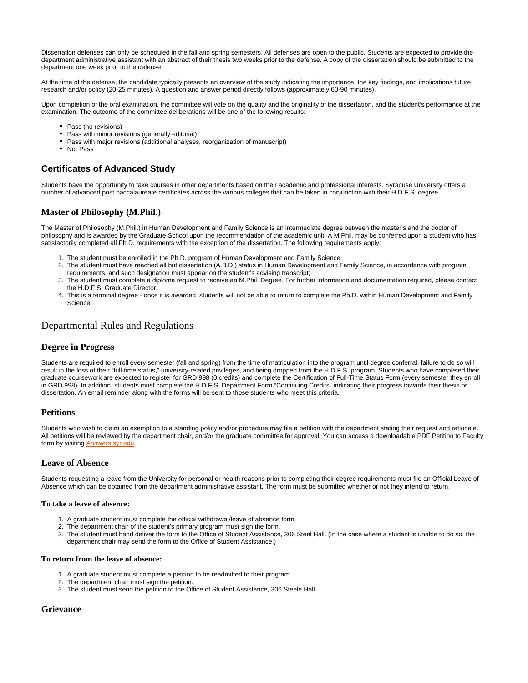Dissertation defenses can only be scheduled in the fall and spring semesters. All defenses are open to the public. Students are expected to provide the department administrative assistant with an abstract of their thesis two weeks prior to the defense. A copy of the dissertation should be submitted to the department one week prior to the defense.

At the time of the defense, the candidate typically presents an overview of the study indicating the importance, the key findings, and implications future research and/or policy (20-25 minutes). A question and answer period directly follows (approximately 60-90 minutes).

Upon completion of the oral examination, the committee will vote on the quality and the originality of the dissertation, and the student's performance at the examination. The outcome of the committee deliberations will be one of the following results:

- Pass (no revisions)
- Pass with minor revisions (generally editorial)
- $\bullet$ Pass with major revisions (additional analyses, reorganization of manuscript)
- Not Pass

# <span id="page-11-0"></span>**Certificates of Advanced Study**

Students have the opportunity to take courses in other departments based on their academic and professional interests. Syracuse University offers a number of advanced post baccalaureate certificates across the various colleges that can be taken in conjunction with their H.D.F.S. degree.

# <span id="page-11-1"></span>**Master of Philosophy (M.Phil.)**

The Master of Philosophy (M.Phil.) in Human Development and Family Science is an intermediate degree between the master's and the doctor of philosophy and is awarded by the Graduate School upon the recommendation of the academic unit. A M.Phil. may be conferred upon a student who has satisfactorily completed all Ph.D. requirements with the exception of the dissertation. The following requirements apply:

- 1. The student must be enrolled in the Ph.D. program of Human Development and Family Science;
- 2. The student must have reached all but dissertation (A.B.D.) status in Human Development and Family Science, in accordance with program requirements, and such designation must appear on the student's advising transcript;
- 3. The student must complete a diploma request to receive an M.Phil. Degree. For further information and documentation required, please contact the H.D.F.S. Graduate Director;
- 4. This is a terminal degree once it is awarded, students will not be able to return to complete the Ph.D. within Human Development and Family Science.

# <span id="page-11-2"></span>Departmental Rules and Regulations

# <span id="page-11-3"></span>**Degree in Progress**

Students are required to enroll every semester (fall and spring) from the time of matriculation into the program until degree conferral, failure to do so will result in the loss of their "full-time status," university-related privileges, and being dropped from the H.D.F.S. program. Students who have completed their graduate coursework are expected to register for GRD 998 (0 credits) and complete the Certification of Full-Time Status Form (every semester they enroll in GRD 998). In addition, students must complete the H.D.F.S. Department Form "Continuing Credits" indicating their progress towards their thesis or dissertation. An email reminder along with the forms will be sent to those students who meet this criteria.

# <span id="page-11-4"></span>**Petitions**

Students who wish to claim an exemption to a standing policy and/or procedure may file a petition with the department stating their request and rationale. All petitions will be reviewed by the department chair, and/or the graduate committee for approval. You can access a downloadable PDF Petition to Faculty form by visiting [Answers.syr.edu.](http://Answers.syr.edu)

# <span id="page-11-5"></span>**Leave of Absence**

Students requesting a leave from the University for personal or health reasons prior to completing their degree requirements must file an Official Leave of Absence which can be obtained from the department administrative assistant. The form must be submitted whether or not they intend to return.

### **To take a leave of absence:**

- 1. A graduate student must complete the official withdrawal/leave of absence form.
- 2. The department chair of the student's primary program must sign the form.
- 3. The student must hand deliver the form to the Office of Student Assistance, 306 Steel Hall. (In the case where a student is unable to do so, the department chair may send the form to the Office of Student Assistance.)

### **To return from the leave of absence:**

- 1. A graduate student must complete a petition to be readmitted to their program.
- 2. The department chair must sign the petition.
- 3. The student must send the petition to the Office of Student Assistance, 306 Steele Hall.

# <span id="page-11-6"></span>**Grievance**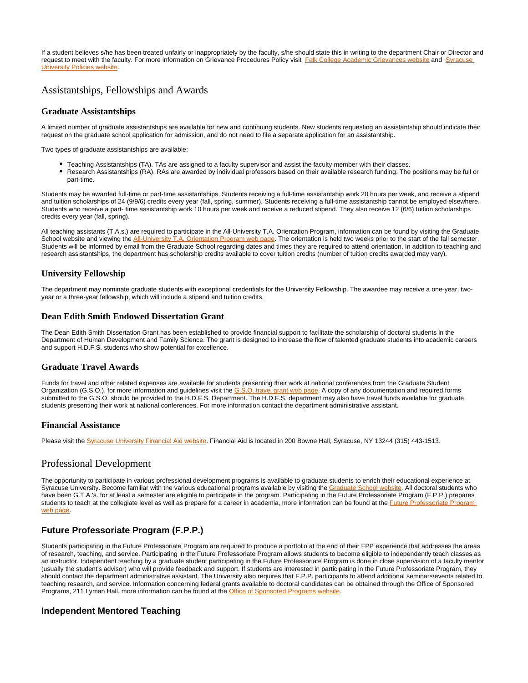If a student believes s/he has been treated unfairly or inappropriately by the faculty, s/he should state this in writing to the department Chair or Director and request to meet with the faculty. For more information on Grievance Procedures Policy visit [Falk College Academic Grievances website](https://falk.syr.edu/students/student-rights-academic-integrity-grievance-policies/) and Syracuse [University Policies website](http://supolicies.syr.edu/studs/grievance.htm).

# <span id="page-12-0"></span>Assistantships, Fellowships and Awards

### <span id="page-12-1"></span>**Graduate Assistantships**

A limited number of graduate assistantships are available for new and continuing students. New students requesting an assistantship should indicate their request on the graduate school application for admission, and do not need to file a separate application for an assistantship.

Two types of graduate assistantships are available:

- Teaching Assistantships (TA). TAs are assigned to a faculty supervisor and assist the faculty member with their classes.
- Research Assistantships (RA). RAs are awarded by individual professors based on their available research funding. The positions may be full or part-time.

Students may be awarded full-time or part-time assistantships. Students receiving a full-time assistantship work 20 hours per week, and receive a stipend and tuition scholarships of 24 (9/9/6) credits every year (fall, spring, summer). Students receiving a full-time assistantship cannot be employed elsewhere. Students who receive a part- time assistantship work 10 hours per week and receive a reduced stipend. They also receive 12 (6/6) tuition scholarships credits every year (fall, spring).

All teaching assistants (T.A.s.) are required to participate in the All-University T.A. Orientation Program, information can be found by visiting the Graduate School website and viewing the [All-University T.A. Orientation Program web page.](http://graduateschool.syr.edu/programs/ta-program/all-university-ta-orientation-program/) The orientation is held two weeks prior to the start of the fall semester. Students will be informed by email from the Graduate School regarding dates and times they are required to attend orientation. In addition to teaching and research assistantships, the department has scholarship credits available to cover tuition credits (number of tuition credits awarded may vary).

# <span id="page-12-2"></span>**University Fellowship**

The department may nominate graduate students with exceptional credentials for the University Fellowship. The awardee may receive a one-year, twoyear or a three-year fellowship, which will include a stipend and tuition credits.

# <span id="page-12-3"></span>**Dean Edith Smith Endowed Dissertation Grant**

The Dean Edith Smith Dissertation Grant has been established to provide financial support to facilitate the scholarship of doctoral students in the Department of Human Development and Family Science. The grant is designed to increase the flow of talented graduate students into academic careers and support H.D.F.S. students who show potential for excellence.

### <span id="page-12-4"></span>**Graduate Travel Awards**

Funds for travel and other related expenses are available for students presenting their work at national conferences from the Graduate Student Organization (G.S.O.), for more information and guidelines visit the [G.S.O. travel grant web page](http://gradorg.syr.edu/travel-grant/). A copy of any documentation and required forms submitted to the G.S.O. should be provided to the H.D.F.S. Department. The H.D.F.S. department may also have travel funds available for graduate students presenting their work at national conferences. For more information contact the department administrative assistant.

### <span id="page-12-5"></span>**Financial Assistance**

Please visit the **[Syracuse University Financial Aid website](http://financialaid.syr.edu/)**. Financial Aid is located in 200 Bowne Hall, Syracuse, NY 13244 (315) 443-1513.

# <span id="page-12-6"></span>Professional Development

The opportunity to participate in various professional development programs is available to graduate students to enrich their educational experience at Syracuse University. Become familiar with the various educational programs available by visiting the [Graduate School website.](http://graduateschool.syr.edu/programs/) All doctoral students who have been G.T.A.'s. for at least a semester are eligible to participate in the program. Participating in the Future Professoriate Program (F.P.P.) prepares students to teach at the collegiate level as well as prepare for a career in academia, more information can be found at the **Future Professoriate Program** [web page.](http://graduateschool.syr.edu/programs/future-professoriate-program/)

# <span id="page-12-7"></span>**Future Professoriate Program (F.P.P.)**

Students participating in the Future Professoriate Program are required to produce a portfolio at the end of their FPP experience that addresses the areas of research, teaching, and service. Participating in the Future Professoriate Program allows students to become eligible to independently teach classes as an instructor. Independent teaching by a graduate student participating in the Future Professoriate Program is done in close supervision of a faculty mentor (usually the student's advisor) who will provide feedback and support. If students are interested in participating in the Future Professoriate Program, they should contact the department administrative assistant. The University also requires that F.P.P. participants to attend additional seminars/events related to teaching research, and service. Information concerning federal grants available to doctoral candidates can be obtained through the Office of Sponsored Programs, 211 Lyman Hall, more information can be found at the [Office of Sponsored Programs website](http://sponsoredprograms.syr.edu/).

# <span id="page-12-8"></span>**Independent Mentored Teaching**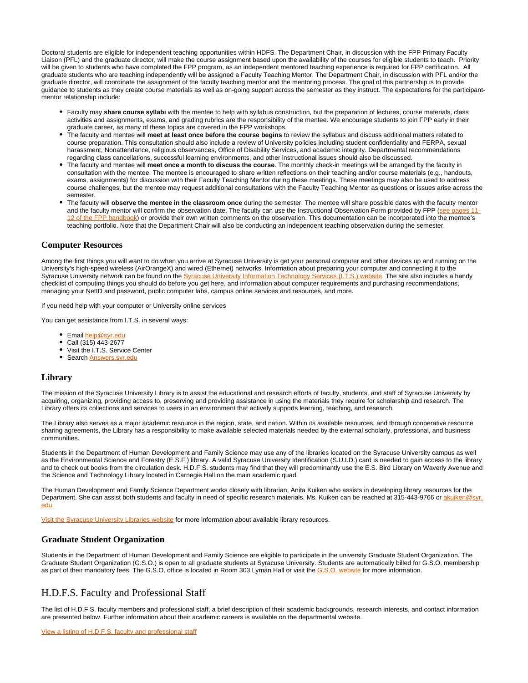Doctoral students are eligible for independent teaching opportunities within HDFS. The Department Chair, in discussion with the FPP Primary Faculty Liaison (PFL) and the graduate director, will make the course assignment based upon the availability of the courses for eligible students to teach. Priority will be given to students who have completed the FPP program, as an independent mentored teaching experience is required for FPP certification. All graduate students who are teaching independently will be assigned a Faculty Teaching Mentor. The Department Chair, in discussion with PFL and/or the graduate director, will coordinate the assignment of the faculty teaching mentor and the mentoring process. The goal of this partnership is to provide guidance to students as they create course materials as well as on-going support across the semester as they instruct. The expectations for the participantmentor relationship include:

- Faculty may **share course syllabi** with the mentee to help with syllabus construction, but the preparation of lectures, course materials, class activities and assignments, exams, and grading rubrics are the responsibility of the mentee. We encourage students to join FPP early in their graduate career, as many of these topics are covered in the FPP workshops.
- The faculty and mentee will **meet at least once before the course begins** to review the syllabus and discuss additional matters related to course preparation. This consultation should also include a review of University policies including student confidentiality and FERPA, sexual harassment, Nonattendance, religious observances, Office of Disability Services, and academic integrity. Departmental recommendations regarding class cancellations, successful learning environments, and other instructional issues should also be discussed.
- The faculty and mentee will **meet once a month to discuss the course**. The monthly check-in meetings will be arranged by the faculty in consultation with the mentee. The mentee is encouraged to share written reflections on their teaching and/or course materials (e.g., handouts, exams, assignments) for discussion with their Faculty Teaching Mentor during these meetings. These meetings may also be used to address course challenges, but the mentee may request additional consultations with the Faculty Teaching Mentor as questions or issues arise across the semester.
- The faculty will **observe the mentee in the classroom once** during the semester. The mentee will share possible dates with the faculty mentor and the faculty mentor will confirm the observation date. The faculty can use the Instructional Observation Form provided by FPP ([see pages 11](https://answers.syr.edu/pages/viewpage.action?pageId=94046639&preview=/94046639/94046649/FPP-participant-handbook.pdf) of the FPP handbook) or provide their own written comments on the observation. This documentation can be incorporated into the mentee's teaching portfolio. Note that the Department Chair will also be conducting an independent teaching observation during the semester.

# <span id="page-13-0"></span>**Computer Resources**

Among the first things you will want to do when you arrive at Syracuse University is get your personal computer and other devices up and running on the University's high-speed wireless (AirOrangeX) and wired (Ethernet) networks. Information about preparing your computer and connecting it to the Syracuse University network can be found on the [Syracuse University Information Technology Services \(I.T.S.\) website](http://its.syr.edu/). The site also includes a handy checklist of computing things you should do before you get here, and information about computer requirements and purchasing recommendations, managing your NetID and password, public computer labs, campus online services and resources, and more.

If you need help with your computer or University online services

You can get assistance from I.T.S. in several ways:

- Email [help@syr.edu](mailto:help@syr.edu)
- Call (315) 443-2677
- Visit the I.T.S. Service Center
- Search [Answers.syr.edu](http://Answers.syr.edu)

### <span id="page-13-1"></span>**Library**

The mission of the Syracuse University Library is to assist the educational and research efforts of faculty, students, and staff of Syracuse University by acquiring, organizing, providing access to, preserving and providing assistance in using the materials they require for scholarship and research. The Library offers its collections and services to users in an environment that actively supports learning, teaching, and research.

The Library also serves as a major academic resource in the region, state, and nation. Within its available resources, and through cooperative resource sharing agreements, the Library has a responsibility to make available selected materials needed by the external scholarly, professional, and business communities.

Students in the Department of Human Development and Family Science may use any of the libraries located on the Syracuse University campus as well as the Environmental Science and Forestry (E.S.F.) library. A valid Syracuse University Identification (S.U.I.D.) card is needed to gain access to the library and to check out books from the circulation desk. H.D.F.S. students may find that they will predominantly use the E.S. Bird Library on Waverly Avenue and the Science and Technology Library located in Carnegie Hall on the main academic quad.

The Human Development and Family Science Department works closely with librarian, Anita Kuiken who assists in developing library resources for the Department. She can assist both students and faculty in need of specific research materials. Ms. Kuiken can be reached at 315-443-9766 or [akuiken@syr.](mailto:akuiken@syr.edu) [edu.](mailto:akuiken@syr.edu)

[Visit the Syracuse University Libraries website](https://library.syr.edu/) for more information about available library resources.

### <span id="page-13-2"></span>**Graduate Student Organization**

Students in the Department of Human Development and Family Science are eligible to participate in the university Graduate Student Organization. The Graduate Student Organization (G.S.O.) is open to all graduate students at Syracuse University. Students are automatically billed for G.S.O. membership as part of their mandatory fees. The G.S.O. office is located in Room 303 Lyman Hall or visit the [G.S.O. website](http://gradorg.syr.edu/) for more information.

# <span id="page-13-3"></span>H.D.F.S. Faculty and Professional Staff

The list of H.D.F.S. faculty members and professional staff, a brief description of their academic backgrounds, research interests, and contact information are presented below. Further information about their academic careers is available on the departmental website.